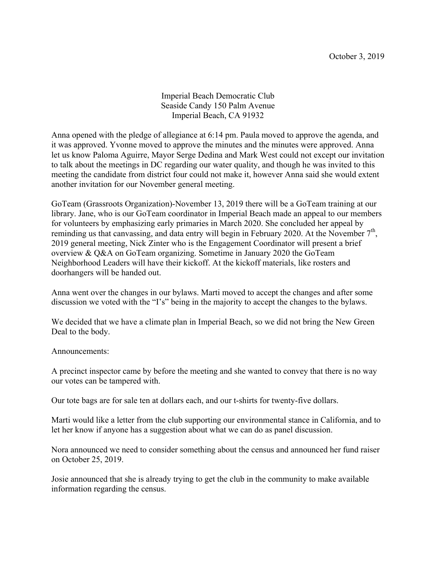Imperial Beach Democratic Club Seaside Candy 150 Palm Avenue Imperial Beach, CA 91932

Anna opened with the pledge of allegiance at 6:14 pm. Paula moved to approve the agenda, and it was approved. Yvonne moved to approve the minutes and the minutes were approved. Anna let us know Paloma Aguirre, Mayor Serge Dedina and Mark West could not except our invitation to talk about the meetings in DC regarding our water quality, and though he was invited to this meeting the candidate from district four could not make it, however Anna said she would extent another invitation for our November general meeting.

GoTeam (Grassroots Organization)-November 13, 2019 there will be a GoTeam training at our library. Jane, who is our GoTeam coordinator in Imperial Beach made an appeal to our members for volunteers by emphasizing early primaries in March 2020. She concluded her appeal by reminding us that canvassing, and data entry will begin in February 2020. At the November  $7<sup>th</sup>$ , 2019 general meeting, Nick Zinter who is the Engagement Coordinator will present a brief overview & Q&A on GoTeam organizing. Sometime in January 2020 the GoTeam Neighborhood Leaders will have their kickoff. At the kickoff materials, like rosters and doorhangers will be handed out.

Anna went over the changes in our bylaws. Marti moved to accept the changes and after some discussion we voted with the "I's" being in the majority to accept the changes to the bylaws.

We decided that we have a climate plan in Imperial Beach, so we did not bring the New Green Deal to the body.

## Announcements:

A precinct inspector came by before the meeting and she wanted to convey that there is no way our votes can be tampered with.

Our tote bags are for sale ten at dollars each, and our t-shirts for twenty-five dollars.

Marti would like a letter from the club supporting our environmental stance in California, and to let her know if anyone has a suggestion about what we can do as panel discussion.

Nora announced we need to consider something about the census and announced her fund raiser on October 25, 2019.

Josie announced that she is already trying to get the club in the community to make available information regarding the census.